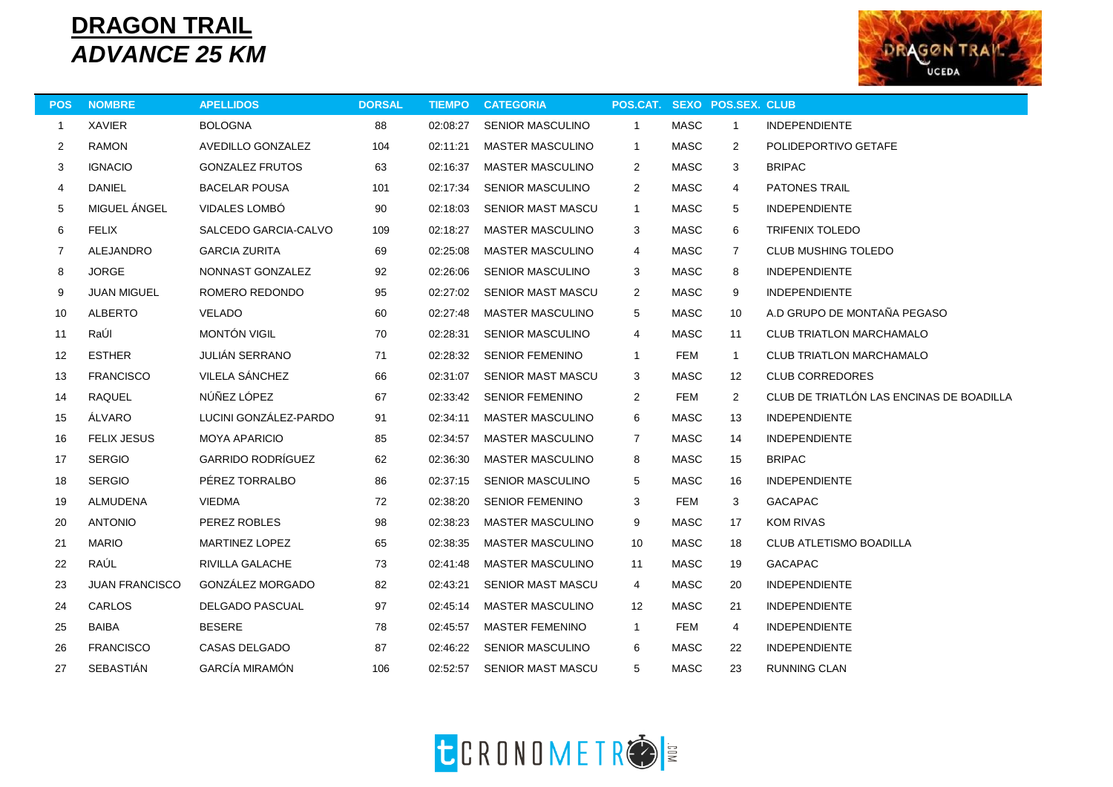## **DRAGON TRAIL** *ADVANCE 25 KM*



| <b>POS</b>   | <b>NOMBRE</b>         | <b>APELLIDOS</b>         | <b>DORSAL</b> | <b>TIEMPO</b> | <b>CATEGORIA</b>         | POS.CAT. SEXO POS.SEX. CLUB |             |              |                                          |  |
|--------------|-----------------------|--------------------------|---------------|---------------|--------------------------|-----------------------------|-------------|--------------|------------------------------------------|--|
| $\mathbf{1}$ | <b>XAVIER</b>         | BOLOGNA                  | 88            | 02:08:27      | <b>SENIOR MASCULINO</b>  | $\mathbf{1}$                | MASC        | $\mathbf{1}$ | <b>INDEPENDIENTE</b>                     |  |
| 2            | <b>RAMON</b>          | AVEDILLO GONZALEZ        | 104           | 02:11:21      | <b>MASTER MASCULINO</b>  | $\mathbf{1}$                | <b>MASC</b> | 2            | POLIDEPORTIVO GETAFE                     |  |
| 3            | <b>IGNACIO</b>        | <b>GONZALEZ FRUTOS</b>   | 63            | 02:16:37      | <b>MASTER MASCULINO</b>  | 2                           | <b>MASC</b> | 3            | <b>BRIPAC</b>                            |  |
| 4            | <b>DANIEL</b>         | <b>BACELAR POUSA</b>     | 101           | 02:17:34      | <b>SENIOR MASCULINO</b>  | $\overline{2}$              | <b>MASC</b> | 4            | <b>PATONES TRAIL</b>                     |  |
| 5            | MIGUEL ÁNGEL          | VIDALES LOMBÓ            | 90            | 02:18:03      | <b>SENIOR MAST MASCU</b> | $\mathbf{1}$                | <b>MASC</b> | 5            | <b>INDEPENDIENTE</b>                     |  |
| 6            | <b>FELIX</b>          | SALCEDO GARCIA-CALVO     | 109           | 02:18:27      | <b>MASTER MASCULINO</b>  | 3                           | <b>MASC</b> | 6            | <b>TRIFENIX TOLEDO</b>                   |  |
| 7            | <b>ALEJANDRO</b>      | <b>GARCIA ZURITA</b>     | 69            | 02:25:08      | <b>MASTER MASCULINO</b>  | 4                           | <b>MASC</b> | 7            | <b>CLUB MUSHING TOLEDO</b>               |  |
| 8            | <b>JORGE</b>          | NONNAST GONZALEZ         | 92            | 02:26:06      | <b>SENIOR MASCULINO</b>  | 3                           | <b>MASC</b> | 8            | <b>INDEPENDIENTE</b>                     |  |
| 9            | <b>JUAN MIGUEL</b>    | ROMERO REDONDO           | 95            | 02:27:02      | <b>SENIOR MAST MASCU</b> | $\overline{2}$              | <b>MASC</b> | 9            | <b>INDEPENDIENTE</b>                     |  |
| 10           | <b>ALBERTO</b>        | <b>VELADO</b>            | 60            | 02:27:48      | <b>MASTER MASCULINO</b>  | 5                           | <b>MASC</b> | 10           | A.D GRUPO DE MONTAÑA PEGASO              |  |
| 11           | RaÚI                  | <b>MONTÓN VIGIL</b>      | 70            | 02:28:31      | <b>SENIOR MASCULINO</b>  | 4                           | <b>MASC</b> | 11           | <b>CLUB TRIATLON MARCHAMALO</b>          |  |
| 12           | <b>ESTHER</b>         | <b>JULIÁN SERRANO</b>    | 71            | 02:28:32      | <b>SENIOR FEMENINO</b>   | $\mathbf{1}$                | <b>FEM</b>  | $\mathbf{1}$ | <b>CLUB TRIATLON MARCHAMALO</b>          |  |
| 13           | <b>FRANCISCO</b>      | VILELA SÁNCHEZ           | 66            | 02:31:07      | <b>SENIOR MAST MASCU</b> | 3                           | <b>MASC</b> | 12           | <b>CLUB CORREDORES</b>                   |  |
| 14           | <b>RAQUEL</b>         | NÚÑEZ LÓPEZ              | 67            | 02:33:42      | <b>SENIOR FEMENINO</b>   | $\overline{2}$              | <b>FEM</b>  | 2            | CLUB DE TRIATLÓN LAS ENCINAS DE BOADILLA |  |
| 15           | ÁLVARO                | LUCINI GONZÁLEZ-PARDO    | 91            | 02:34:11      | <b>MASTER MASCULINO</b>  | 6                           | <b>MASC</b> | 13           | <b>INDEPENDIENTE</b>                     |  |
| 16           | <b>FELIX JESUS</b>    | <b>MOYA APARICIO</b>     | 85            | 02:34:57      | <b>MASTER MASCULINO</b>  | $\overline{7}$              | <b>MASC</b> | 14           | <b>INDEPENDIENTE</b>                     |  |
| 17           | <b>SERGIO</b>         | <b>GARRIDO RODRÍGUEZ</b> | 62            | 02:36:30      | <b>MASTER MASCULINO</b>  | 8                           | <b>MASC</b> | 15           | <b>BRIPAC</b>                            |  |
| 18           | <b>SERGIO</b>         | PÉREZ TORRALBO           | 86            | 02:37:15      | <b>SENIOR MASCULINO</b>  | 5                           | <b>MASC</b> | 16           | <b>INDEPENDIENTE</b>                     |  |
| 19           | ALMUDENA              | <b>VIEDMA</b>            | 72            | 02:38:20      | <b>SENIOR FEMENINO</b>   | 3                           | <b>FEM</b>  | 3            | <b>GACAPAC</b>                           |  |
| 20           | <b>ANTONIO</b>        | PEREZ ROBLES             | 98            | 02:38:23      | <b>MASTER MASCULINO</b>  | 9                           | <b>MASC</b> | 17           | <b>KOM RIVAS</b>                         |  |
| 21           | <b>MARIO</b>          | <b>MARTINEZ LOPEZ</b>    | 65            | 02:38:35      | <b>MASTER MASCULINO</b>  | 10                          | <b>MASC</b> | 18           | <b>CLUB ATLETISMO BOADILLA</b>           |  |
| 22           | RAÚL                  | RIVILLA GALACHE          | 73            | 02:41:48      | <b>MASTER MASCULINO</b>  | 11                          | <b>MASC</b> | 19           | <b>GACAPAC</b>                           |  |
| 23           | <b>JUAN FRANCISCO</b> | GONZÁLEZ MORGADO         | 82            | 02:43:21      | <b>SENIOR MAST MASCU</b> | $\overline{4}$              | <b>MASC</b> | 20           | <b>INDEPENDIENTE</b>                     |  |
| 24           | <b>CARLOS</b>         | DELGADO PASCUAL          | 97            | 02:45:14      | <b>MASTER MASCULINO</b>  | 12                          | MASC        | 21           | <b>INDEPENDIENTE</b>                     |  |
| 25           | BAIBA                 | <b>BESERE</b>            | 78            | 02:45:57      | <b>MASTER FEMENINO</b>   | $\mathbf{1}$                | <b>FEM</b>  | 4            | <b>INDEPENDIENTE</b>                     |  |
| 26           | <b>FRANCISCO</b>      | CASAS DELGADO            | 87            | 02:46:22      | <b>SENIOR MASCULINO</b>  | 6                           | <b>MASC</b> | 22           | <b>INDEPENDIENTE</b>                     |  |
| 27           | <b>SEBASTIÁN</b>      | <b>GARCÍA MIRAMÓN</b>    | 106           | 02:52:57      | <b>SENIOR MAST MASCU</b> | 5                           | <b>MASC</b> | 23           | <b>RUNNING CLAN</b>                      |  |
|              |                       |                          |               |               |                          |                             |             |              |                                          |  |